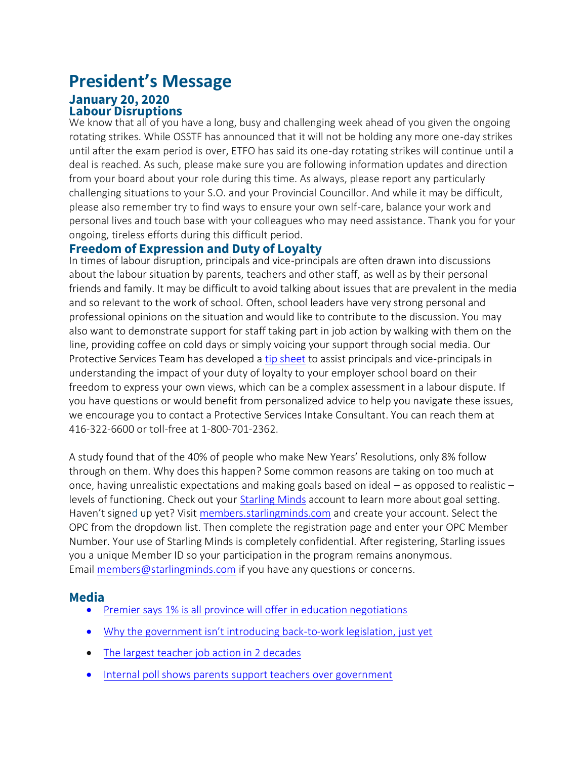## **President's Message January 20, 2020 Labour Disruptions**

We know that all of you have a long, busy and challenging week ahead of you given the ongoing rotating strikes. While OSSTF has announced that it will not be holding any more one-day strikes until after the exam period is over, ETFO has said its one-day rotating strikes will continue until a deal is reached. As such, please make sure you are following information updates and direction from your board about your role during this time. As always, please report any particularly challenging situations to your S.O. and your Provincial Councillor. And while it may be difficult, please also remember try to find ways to ensure your own self-care, balance your work and personal lives and touch base with your colleagues who may need assistance. Thank you for your ongoing, tireless efforts during this difficult period.

## **Freedom of Expression and Duty of Loyalty**

In times of labour disruption, principals and vice-principals are often drawn into discussions about the labour situation by parents, teachers and other staff, as well as by their personal friends and family. It may be difficult to avoid talking about issues that are prevalent in the media and so relevant to the work of school. Often, school leaders have very strong personal and professional opinions on the situation and would like to contribute to the discussion. You may also want to demonstrate support for staff taking part in job action by walking with them on the line, providing coffee on cold days or simply voicing your support through social media. Our Protective Services Team has developed a [tip sheet](https://www.principals.ca/en/protective-services/freedom-of-expression-and-duty-of-loyalty.aspx) to assist principals and vice-principals in understanding the impact of your duty of loyalty to your employer school board on their freedom to express your own views, which can be a complex assessment in a labour dispute. If you have questions or would benefit from personalized advice to help you navigate these issues, we encourage you to contact a Protective Services Intake Consultant. You can reach them at 416-322-6600 or toll-free at 1-800-701-2362.

A study found that of the 40% of people who make New Years' Resolutions, only 8% follow through on them. Why does this happen? Some common reasons are taking on too much at once, having unrealistic expectations and making goals based on ideal – as opposed to realistic – levels of functioning. Check out your **Starling Minds** account to learn more about goal setting. Haven't signed up yet? Visit [members.starlingminds.com](https://members.starlingminds.com/) and create your account. Select the OPC from the dropdown list. Then complete the registration page and enter your OPC Member Number. Your use of Starling Minds is completely confidential. After registering, Starling issues you a unique Member ID so your participation in the program remains anonymous. Email [members@starlingminds.com](javascript:emailContactV2() if you have any questions or concerns.

## **Media**

- [Premier says 1% is all province will offer in education negotiations](https://www.thestar.com/politics/provincial/2020/01/16/ontario-public-elementary-teachers-plan-to-strike-for-a-second-day-next-week.html)
- [Why the government isn't introducing back](https://www.cbc.ca/news/canada/toronto/teacher-strike-ontario-back-to-work-legislation-doug-ford-1.5430757)-to-work legislation, just yet
- [The largest teacher job action in 2 decades](https://www.thestar.com/news/gta/2020/01/18/is-school-in-or-out-what-you-need-to-know-about-the-largest-teacher-job-action-in-two-decades.html)
- [Internal poll shows parents support teachers over government](https://toronto.ctvnews.ca/internal-union-poll-shows-parents-support-teachers-over-ford-government-1.4772427)